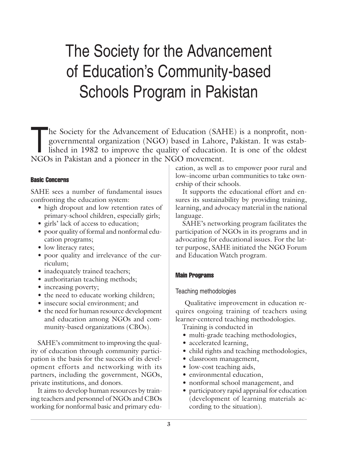# The Society for the Advancement of Education's Community-based Schools Program in Pakistan

The Society for the Advancement of Education (SAHE) is a nonprofit, non-<br>governmental organization (NGO) based in Lahore, Pakistan. It was estab-<br>lished in 1982 to improve the quality of education. It is one of the oldest<br> governmental organization (NGO) based in Lahore, Pakistan. It was estab-NGOs in Pakistan and a pioneer in the NGO movement.

## Basic Concerns

SAHE sees a number of fundamental issues confronting the education system:

- high dropout and low retention rates of primary-school children, especially girls;
- girls' lack of access to education;
- poor quality of formal and nonformal education programs;
- low literacy rates;
- poor quality and irrelevance of the curriculum;
- inadequately trained teachers;
- authoritarian teaching methods;
- increasing poverty;
- the need to educate working children;
- insecure social environment; and
- the need for human resource development and education among NGOs and community-based organizations (CBOs).

SAHE's commitment to improving the quality of education through community participation is the basis for the success of its development efforts and networking with its partners, including the government, NGOs, private institutions, and donors.

It aims to develop human resources by training teachers and personnel of NGOs and CBOs working for nonformal basic and primary education, as well as to empower poor rural and low–income urban communities to take ownership of their schools.

It supports the educational effort and ensures its sustainability by providing training, learning, and advocacy material in the national language.

SAHE's networking program facilitates the participation of NGOs in its programs and in advocating for educational issues. For the latter purpose, SAHE initiated the NGO Forum and Education Watch program.

# Main Programs

# Teaching methodologies

 Qualitative improvement in education requires ongoing training of teachers using learner-centered teaching methodologies.

- Training is conducted in
- multi-grade teaching methodologies,
- accelerated learning,
- child rights and teaching methodologies,
- classroom management,
- low-cost teaching aids,
- environmental education,
- nonformal school management, and
- participatory rapid appraisal for education (development of learning materials according to the situation).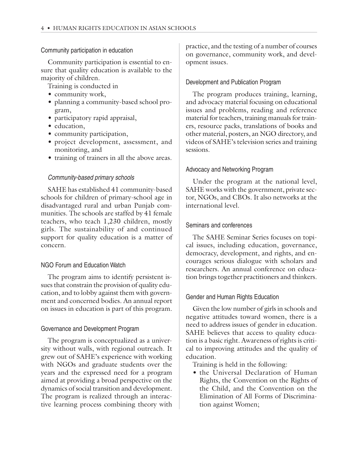#### Community participation in education

Community participation is essential to ensure that quality education is available to the majority of children.

Training is conducted in

- community work,
- planning a community-based school program,
- participatory rapid appraisal,
- education,
- community participation,
- project development, assessment, and monitoring, and
- training of trainers in all the above areas.

## Community-based primary schools

SAHE has established 41 community-based schools for children of primary-school age in disadvantaged rural and urban Punjab communities. The schools are staffed by 41 female teachers, who teach 1,230 children, mostly girls. The sustainability of and continued support for quality education is a matter of concern.

## NGO Forum and Education Watch

The program aims to identify persistent issues that constrain the provision of quality education, and to lobby against them with government and concerned bodies. An annual report on issues in education is part of this program.

## Governance and Development Program

The program is conceptualized as a university without walls, with regional outreach. It grew out of SAHE's experience with working with NGOs and graduate students over the years and the expressed need for a program aimed at providing a broad perspective on the dynamics of social transition and development. The program is realized through an interactive learning process combining theory with practice, and the testing of a number of courses on governance, community work, and development issues.

## Development and Publication Program

The program produces training, learning, and advocacy material focusing on educational issues and problems, reading and reference material for teachers, training manuals for trainers, resource packs, translations of books and other material, posters, an NGO directory, and videos of SAHE's television series and training sessions.

## Advocacy and Networking Program

Under the program at the national level, SAHE works with the government, private sector, NGOs, and CBOs. It also networks at the international level.

#### Seminars and conferences

The SAHE Seminar Series focuses on topical issues, including education, governance, democracy, development, and rights, and encourages serious dialogue with scholars and researchers. An annual conference on education brings together practitioners and thinkers.

#### Gender and Human Rights Education

Given the low number of girls in schools and negative attitudes toward women, there is a need to address issues of gender in education. SAHE believes that access to quality education is a basic right. Awareness of rights is critical to improving attitudes and the quality of education.

Training is held in the following:

• the Universal Declaration of Human Rights, the Convention on the Rights of the Child, and the Convention on the Elimination of All Forms of Discrimination against Women;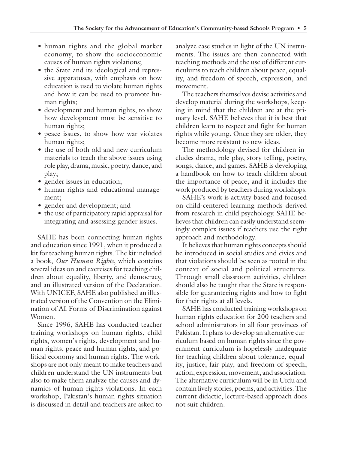- human rights and the global market economy, to show the socioeconomic causes of human rights violations;
- the State and its ideological and repressive apparatuses, with emphasis on how education is used to violate human rights and how it can be used to promote human rights;
- development and human rights, to show how development must be sensitive to human rights;
- peace issues, to show how war violates human rights;
- the use of both old and new curriculum materials to teach the above issues using role play, drama, music, poetry, dance, and play;
- gender issues in education;
- human rights and educational management;
- gender and development; and
- the use of participatory rapid appraisal for integrating and assessing gender issues.

SAHE has been connecting human rights and education since 1991, when it produced a kit for teaching human rights. The kit included a book, *Our Human Rights*, which contains several ideas on and exercises for teaching children about equality, liberty, and democracy, and an illustrated version of the Declaration. With UNICEF, SAHE also published an illustrated version of the Convention on the Elimination of All Forms of Discrimination against Women.

Since 1996, SAHE has conducted teacher training workshops on human rights, child rights, women's rights, development and human rights, peace and human rights, and political economy and human rights. The workshops are not only meant to make teachers and children understand the UN instruments but also to make them analyze the causes and dynamics of human rights violations. In each workshop, Pakistan's human rights situation is discussed in detail and teachers are asked to

analyze case studies in light of the UN instruments. The issues are then connected with teaching methods and the use of different curriculums to teach children about peace, equality, and freedom of speech, expression, and movement.

The teachers themselves devise activities and develop material during the workshops, keeping in mind that the children are at the primary level. SAHE believes that it is best that children learn to respect and fight for human rights while young. Once they are older, they become more resistant to new ideas.

The methodology devised for children includes drama, role play, story telling, poetry, songs, dance, and games. SAHE is developing a handbook on how to teach children about the importance of peace, and it includes the work produced by teachers during workshops.

SAHE's work is activity based and focused on child-centered learning methods derived from research in child psychology. SAHE believes that children can easily understand seemingly complex issues if teachers use the right approach and methodology.

It believes that human rights concepts should be introduced in social studies and civics and that violations should be seen as rooted in the context of social and political structures. Through small classroom activities, children should also be taught that the State is responsible for guaranteeing rights and how to fight for their rights at all levels.

SAHE has conducted training workshops on human rights education for 200 teachers and school administrators in all four provinces of Pakistan. It plans to develop an alternative curriculum based on human rights since the government curriculum is hopelessly inadequate for teaching children about tolerance, equality, justice, fair play, and freedom of speech, action, expression, movement, and association. The alternative curriculum will be in Urdu and contain lively stories, poems, and activities. The current didactic, lecture-based approach does not suit children.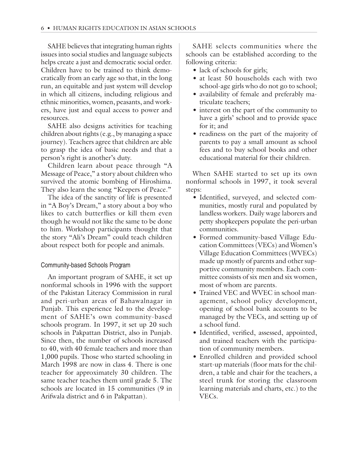SAHE believes that integrating human rights issues into social studies and language subjects helps create a just and democratic social order. Children have to be trained to think democratically from an early age so that, in the long run, an equitable and just system will develop in which all citizens, including religious and ethnic minorities, women, peasants, and workers, have just and equal access to power and resources.

SAHE also designs activities for teaching children about rights (e.g., by managing a space journey). Teachers agree that children are able to grasp the idea of basic needs and that a person's right is another's duty.

Children learn about peace through "A Message of Peace," a story about children who survived the atomic bombing of Hiroshima. They also learn the song "Keepers of Peace."

The idea of the sanctity of life is presented in "A Boy's Dream," a story about a boy who likes to catch butterflies or kill them even though he would not like the same to be done to him. Workshop participants thought that the story "Ali's Dream" could teach children about respect both for people and animals.

## Community-based Schools Program

An important program of SAHE, it set up nonformal schools in 1996 with the support of the Pakistan Literacy Commission in rural and peri-urban areas of Bahawalnagar in Punjab. This experience led to the development of SAHE's own community-based schools program. In 1997, it set up 20 such schools in Pakpattan District, also in Punjab. Since then, the number of schools increased to 40, with 40 female teachers and more than 1,000 pupils. Those who started schooling in March 1998 are now in class 4. There is one teacher for approximately 30 children. The same teacher teaches them until grade 5. The schools are located in 15 communities (9 in Arifwala district and 6 in Pakpattan).

SAHE selects communities where the schools can be established according to the following criteria:

- lack of schools for girls;
- at least 50 households each with two school-age girls who do not go to school;
- availability of female and preferably matriculate teachers;
- interest on the part of the community to have a girls' school and to provide space for it; and
- readiness on the part of the majority of parents to pay a small amount as school fees and to buy school books and other educational material for their children.

When SAHE started to set up its own nonformal schools in 1997, it took several steps:

- Identified, surveyed, and selected communities, mostly rural and populated by landless workers. Daily wage laborers and petty shopkeepers populate the peri-urban communities.
- Formed community-based Village Education Committees (VECs) and Women's Village Education Committees (WVECs) made up mostly of parents and other supportive community members. Each committee consists of six men and six women, most of whom are parents.
- Trained VEC and WVEC in school management, school policy development, opening of school bank accounts to be managed by the VECs, and setting up of a school fund.
- Identified, verified, assessed, appointed, and trained teachers with the participation of community members.
- Enrolled children and provided school start-up materials (floor mats for the children, a table and chair for the teachers, a steel trunk for storing the classroom learning materials and charts, etc.) to the VECs.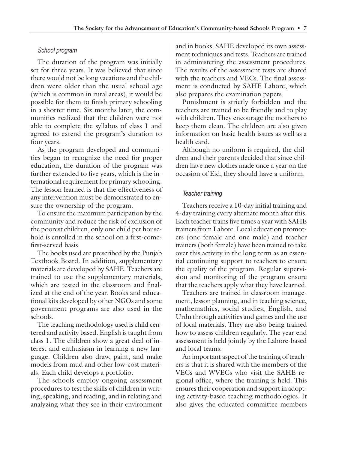## School program

The duration of the program was initially set for three years. It was believed that since there would not be long vacations and the children were older than the usual school age (which is common in rural areas), it would be possible for them to finish primary schooling in a shorter time. Six months later, the communities realized that the children were not able to complete the syllabus of class 1 and agreed to extend the program's duration to four years.

As the program developed and communities began to recognize the need for proper education, the duration of the program was further extended to five years, which is the international requirement for primary schooling. The lesson learned is that the effectiveness of any intervention must be demonstrated to ensure the ownership of the program.

To ensure the maximum participation by the community and reduce the risk of exclusion of the poorest children, only one child per household is enrolled in the school on a first-comefirst-served basis.

The books used are prescribed by the Punjab Textbook Board. In addition, supplementary materials are developed by SAHE. Teachers are trained to use the supplementary materials, which are tested in the classroom and finalized at the end of the year. Books and educational kits developed by other NGOs and some government programs are also used in the schools.

The teaching methodology used is child centered and activity based. English is taught from class 1. The children show a great deal of interest and enthusiasm in learning a new language. Children also draw, paint, and make models from mud and other low-cost materials. Each child develops a portfolio.

The schools employ ongoing assessment procedures to test the skills of children in writing, speaking, and reading, and in relating and analyzing what they see in their environment

and in books. SAHE developed its own assessment techniques and tests. Teachers are trained in administering the assessment procedures. The results of the assessment tests are shared with the teachers and VECs. The final assessment is conducted by SAHE Lahore, which also prepares the examination papers.

Punishment is strictly forbidden and the teachers are trained to be friendly and to play with children. They encourage the mothers to keep them clean. The children are also given information on basic health issues as well as a health card.

Although no uniform is required, the children and their parents decided that since children have new clothes made once a year on the occasion of Eid, they should have a uniform.

## Teacher training

Teachers receive a 10-day initial training and 4-day training every alternate month after this. Each teacher trains five times a year with SAHE trainers from Lahore. Local education promoters (one female and one male) and teacher trainers (both female) have been trained to take over this activity in the long term as an essential continuing support to teachers to ensure the quality of the program. Regular supervision and monitoring of the program ensure that the teachers apply what they have learned.

Teachers are trained in classroom management, lesson planning, and in teaching science, mathemathics, social studies, English, and Urdu through activities and games and the use of local materials. They are also being trained how to assess children regularly. The year-end assessment is held jointly by the Lahore-based and local teams.

An important aspect of the training of teachers is that it is shared with the members of the VECs and WVECs who visit the SAHE regional office, where the training is held. This ensures their cooperation and support in adopting activity-based teaching methodologies. It also gives the educated committee members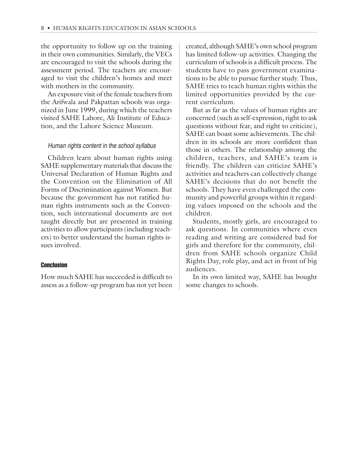the opportunity to follow up on the training in their own communities. Similarly, the VECs are encouraged to visit the schools during the assessment period. The teachers are encouraged to visit the children's homes and meet with mothers in the community.

An exposure visit of the female teachers from the Arifwala and Pakpattan schools was organized in June 1999, during which the teachers visited SAHE Lahore, Ali Institute of Education, and the Lahore Science Museum.

#### Human rights content in the school syllabus

Children learn about human rights using SAHE supplementary materials that discuss the Universal Declaration of Human Rights and the Convention on the Elimination of All Forms of Discrimination against Women. But because the government has not ratified human rights instruments such as the Convention, such international documents are not taught directly but are presented in training activities to allow participants (including teachers) to better understand the human rights issues involved.

#### Conclusion

How much SAHE has succeeded is difficult to assess as a follow-up program has not yet been created, although SAHE's own school program has limited follow-up activities. Changing the curriculum of schools is a difficult process. The students have to pass government examinations to be able to pursue further study. Thus, SAHE tries to teach human rights within the limited opportunities provided by the current curriculum.

But as far as the values of human rights are concerned (such as self-expression, right to ask questions without fear, and right to criticize), SAHE can boast some achievements. The children in its schools are more confident than those in others. The relationship among the children, teachers, and SAHE's team is friendly. The children can criticize SAHE's activities and teachers can collectively change SAHE's decisions that do not benefit the schools. They have even challenged the community and powerful groups within it regarding values imposed on the schools and the children.

Students, mostly girls, are encouraged to ask questions. In communities where even reading and writing are considered bad for girls and therefore for the community, children from SAHE schools organize Child Rights Day, role play, and act in front of big audiences.

In its own limited way, SAHE has bought some changes to schools.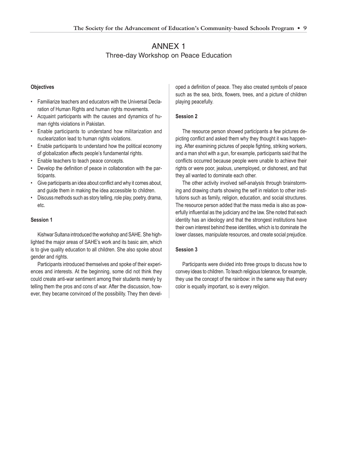# ANNEX 1 Three-day Workshop on Peace Education

#### **Objectives**

- Familiarize teachers and educators with the Universal Declaration of Human Rights and human rights movements.
- Acquaint participants with the causes and dynamics of human rights violations in Pakistan.
- Enable participants to understand how militarization and nuclearization lead to human rights violations.
- Enable participants to understand how the political economy of globalization affects people's fundamental rights.
- Enable teachers to teach peace concepts.
- Develop the definition of peace in collaboration with the participants.
- Give participants an idea about conflict and why it comes about, and guide them in making the idea accessible to children.
- Discuss methods such as story telling, role play, poetry, drama, etc.

#### **Session 1**

Kishwar Sultana introduced the workshop and SAHE. She highlighted the major areas of SAHE's work and its basic aim, which is to give quality education to all children. She also spoke about gender and rights.

Participants introduced themselves and spoke of their experiences and interests. At the beginning, some did not think they could create anti-war sentiment among their students merely by telling them the pros and cons of war. After the discussion, however, they became convinced of the possibility. They then developed a definition of peace. They also created symbols of peace such as the sea, birds, flowers, trees, and a picture of children playing peacefully.

#### **Session 2**

The resource person showed participants a few pictures depicting conflict and asked them why they thought it was happening. After examining pictures of people fighting, striking workers, and a man shot with a gun, for example, participants said that the conflicts occurred because people were unable to achieve their rights or were poor, jealous, unemployed, or dishonest, and that they all wanted to dominate each other.

The other activity involved self-analysis through brainstorming and drawing charts showing the self in relation to other institutions such as family, religion, education, and social structures. The resource person added that the mass media is also as powerfully influential as the judiciary and the law. She noted that each identity has an ideology and that the strongest institutions have their own interest behind these identities, which is to dominate the lower classes, manipulate resources, and create social prejudice.

#### **Session 3**

Participants were divided into three groups to discuss how to convey ideas to children. To teach religious tolerance, for example, they use the concept of the rainbow: in the same way that every color is equally important, so is every religion.